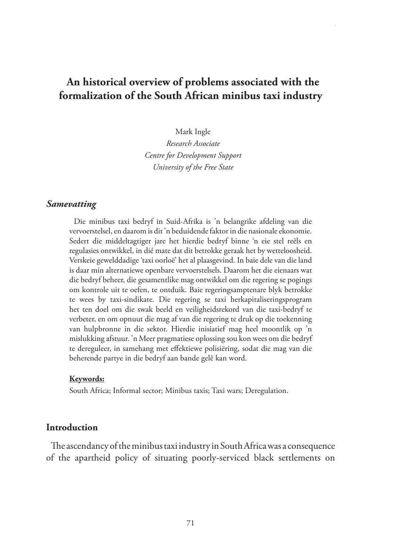# **An historical overview of problems associated with the formalization of the South African minibus taxi industry**

Mark Ingle

*Research Associate Centre for Development Support University of the Free State*

#### *Samevatting*

Die minibus taxi bedryf in Suid-Afrika is 'n belangrike afdeling van die vervoerstelsel, en daarom is dit 'n beduidende faktor in die nasionale ekonomie. Sedert die middeltagtiger jare het hierdie bedryf binne 'n eie stel reëls en regulasies ontwikkel, in dié mate dat dit betrokke geraak het by wetteloosheid. Verskeie gewelddadige 'taxi oorloë' het al plaasgevind. In baie dele van die land is daar min alternatiewe openbare vervoerstelsels. Daarom het die eienaars wat die bedryf beheer, die gesamentlike mag ontwikkel om die regering se pogings om kontrole uit te oefen, te ontduik. Baie regeringsamptenare blyk betrokke te wees by taxi-sindikate. Die regering se taxi herkapitaliseringsprogram het ten doel om die swak beeld en veiligheidsrekord van die taxi-bedryf te verbeter, en om opnuut die mag af van die regering te druk op die toekenning van hulpbronne in die sektor. Hierdie inisiatief mag heel moontlik op 'n mislukking afstuur. 'n Meer pragmatiese oplossing sou kon wees om die bedryf te dereguleer, in samehang met effektiewe polisiëring, sodat die mag van die beherende partye in die bedryf aan bande gelê kan word.

#### **Keywords:**

South Africa; Informal sector; Minibus taxis; Taxi wars; Deregulation.

### **Introduction**

The ascendancy of the minibus taxi industry in South Africa was a consequence of the apartheid policy of situating poorly-serviced black settlements on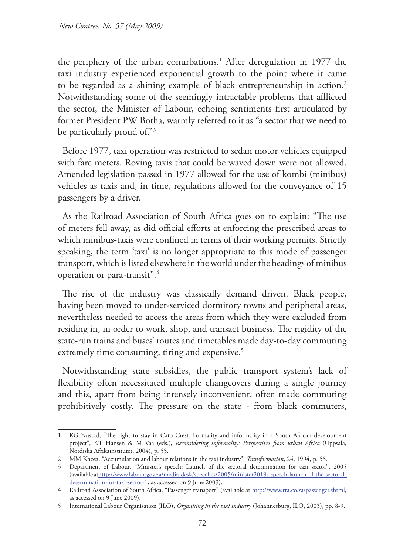the periphery of the urban conurbations.1 After deregulation in 1977 the taxi industry experienced exponential growth to the point where it came to be regarded as a shining example of black entrepreneurship in action.<sup>2</sup> Notwithstanding some of the seemingly intractable problems that afflicted the sector, the Minister of Labour, echoing sentiments first articulated by former President PW Botha, warmly referred to it as "a sector that we need to be particularly proud of."3

Before 1977, taxi operation was restricted to sedan motor vehicles equipped with fare meters. Roving taxis that could be waved down were not allowed. Amended legislation passed in 1977 allowed for the use of kombi (minibus) vehicles as taxis and, in time, regulations allowed for the conveyance of 15 passengers by a driver.

As the Railroad Association of South Africa goes on to explain: "The use of meters fell away, as did official efforts at enforcing the prescribed areas to which minibus-taxis were confined in terms of their working permits. Strictly speaking, the term 'taxi' is no longer appropriate to this mode of passenger transport, which is listed elsewhere in the world under the headings of minibus operation or para-transit".4

The rise of the industry was classically demand driven. Black people, having been moved to under-serviced dormitory towns and peripheral areas, nevertheless needed to access the areas from which they were excluded from residing in, in order to work, shop, and transact business. The rigidity of the state-run trains and buses' routes and timetables made day-to-day commuting extremely time consuming, tiring and expensive.<sup>5</sup>

Notwithstanding state subsidies, the public transport system's lack of flexibility often necessitated multiple changeovers during a single journey and this, apart from being intensely inconvenient, often made commuting prohibitively costly. The pressure on the state - from black commuters,

<sup>1</sup> KG Nustad, "The right to stay in Cato Crest: Formality and informality in a South African development project", KT Hansen & M Vaa (eds.), *Reconsidering Informality: Perspectives from urban Africa* (Uppsala, Nordiska Afrikainstitutet, 2004), p. 55.

<sup>2</sup> MM Khosa, "Accumulation and labour relations in the taxi industry", *Transformation*, 24, 1994, p. 55.

<sup>3</sup> Department of Labour, "Minister's speech: Launch of the sectoral determination for taxi sector", 2005 (available athttp://www.labour.gov.za/media-desk/speeches/2005/minister2019s-speech-launch-of-the-sectoraldetermination-for-taxi-sector-1, as accessed on 9 June 2009).

<sup>4</sup> Railroad Association of South Africa, "Passenger transport" (available at http://www.rra.co.za/passenger.shtml, as accessed on 9 June 2009).

<sup>5</sup> International Labour Organisation (ILO), *Organising in the taxi industry* (Johannesburg, ILO, 2003), pp. 8-9.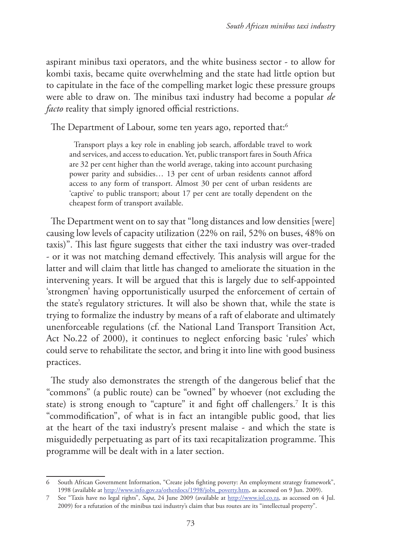aspirant minibus taxi operators, and the white business sector - to allow for kombi taxis, became quite overwhelming and the state had little option but to capitulate in the face of the compelling market logic these pressure groups were able to draw on. The minibus taxi industry had become a popular *de facto* reality that simply ignored official restrictions.

The Department of Labour, some ten years ago, reported that:<sup>6</sup>

Transport plays a key role in enabling job search, affordable travel to work and services, and access to education. Yet, public transport fares in South Africa are 32 per cent higher than the world average, taking into account purchasing power parity and subsidies… 13 per cent of urban residents cannot afford access to any form of transport. Almost 30 per cent of urban residents are 'captive' to public transport; about 17 per cent are totally dependent on the cheapest form of transport available.

The Department went on to say that "long distances and low densities [were] causing low levels of capacity utilization (22% on rail, 52% on buses, 48% on taxis)". This last figure suggests that either the taxi industry was over-traded - or it was not matching demand effectively. This analysis will argue for the latter and will claim that little has changed to ameliorate the situation in the intervening years. It will be argued that this is largely due to self-appointed 'strongmen' having opportunistically usurped the enforcement of certain of the state's regulatory strictures. It will also be shown that, while the state is trying to formalize the industry by means of a raft of elaborate and ultimately unenforceable regulations (cf. the National Land Transport Transition Act, Act No.22 of 2000), it continues to neglect enforcing basic 'rules' which could serve to rehabilitate the sector, and bring it into line with good business practices.

The study also demonstrates the strength of the dangerous belief that the "commons" (a public route) can be "owned" by whoever (not excluding the state) is strong enough to "capture" it and fight off challengers.7 It is this "commodification", of what is in fact an intangible public good, that lies at the heart of the taxi industry's present malaise - and which the state is misguidedly perpetuating as part of its taxi recapitalization programme. This programme will be dealt with in a later section.

<sup>6</sup> South African Government Information, "Create jobs fighting poverty: An employment strategy framework", 1998 (available at http://www.info.gov.za/otherdocs/1998/jobs\_poverty.htm, as accessed on 9 Jun. 2009).

<sup>7</sup> See "Taxis have no legal rights", *Sapa*, 24 June 2009 (available at http://www.iol.co.za, as accessed on 4 Jul. 2009) for a refutation of the minibus taxi industry's claim that bus routes are its "intellectual property".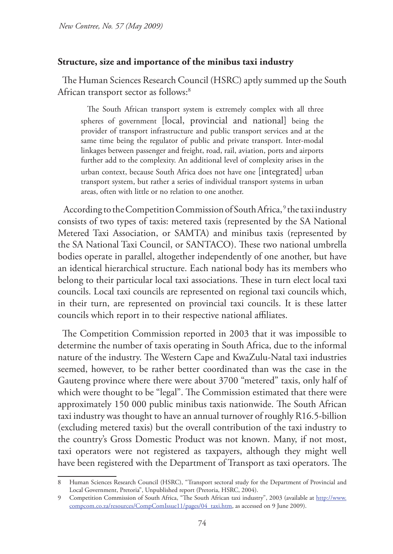## **Structure, size and importance of the minibus taxi industry**

The Human Sciences Research Council (HSRC) aptly summed up the South African transport sector as follows:<sup>8</sup>

The South African transport system is extremely complex with all three spheres of government [local, provincial and national] being the provider of transport infrastructure and public transport services and at the same time being the regulator of public and private transport. Inter-modal linkages between passenger and freight, road, rail, aviation, ports and airports further add to the complexity. An additional level of complexity arises in the urban context, because South Africa does not have one [integrated] urban transport system, but rather a series of individual transport systems in urban areas, often with little or no relation to one another.

According to the Competition Commission of South Africa,<sup>9</sup> the taxi industry consists of two types of taxis: metered taxis (represented by the SA National Metered Taxi Association, or SAMTA) and minibus taxis (represented by the SA National Taxi Council, or SANTACO). These two national umbrella bodies operate in parallel, altogether independently of one another, but have an identical hierarchical structure. Each national body has its members who belong to their particular local taxi associations. These in turn elect local taxi councils. Local taxi councils are represented on regional taxi councils which, in their turn, are represented on provincial taxi councils. It is these latter councils which report in to their respective national affiliates.

The Competition Commission reported in 2003 that it was impossible to determine the number of taxis operating in South Africa, due to the informal nature of the industry. The Western Cape and KwaZulu-Natal taxi industries seemed, however, to be rather better coordinated than was the case in the Gauteng province where there were about 3700 "metered" taxis, only half of which were thought to be "legal". The Commission estimated that there were approximately 150 000 public minibus taxis nationwide. The South African taxi industry was thought to have an annual turnover of roughly R16.5-billion (excluding metered taxis) but the overall contribution of the taxi industry to the country's Gross Domestic Product was not known. Many, if not most, taxi operators were not registered as taxpayers, although they might well have been registered with the Department of Transport as taxi operators. The

<sup>8</sup> Human Sciences Research Council (HSRC), "Transport sectoral study for the Department of Provincial and Local Government, Pretoria", Unpublished report (Pretoria, HSRC, 2004).

<sup>9</sup> Competition Commission of South Africa, "The South African taxi industry", 2003 (available at http://www. compcom.co.za/resources/CompComIssue11/pages/04\_taxi.htm, as accessed on 9 June 2009).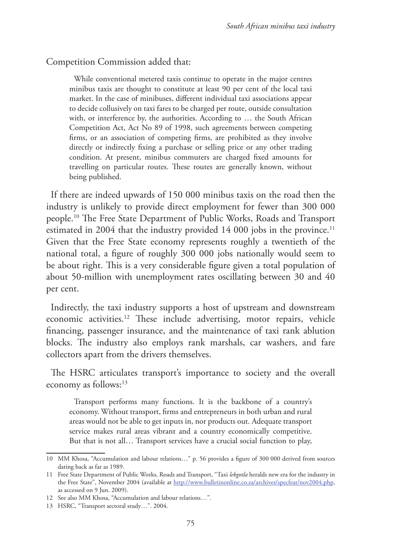#### Competition Commission added that:

While conventional metered taxis continue to operate in the major centres minibus taxis are thought to constitute at least 90 per cent of the local taxi market. In the case of minibuses, different individual taxi associations appear to decide collusively on taxi fares to be charged per route, outside consultation with, or interference by, the authorities. According to … the South African Competition Act, Act No 89 of 1998, such agreements between competing firms, or an association of competing firms, are prohibited as they involve directly or indirectly fixing a purchase or selling price or any other trading condition. At present, minibus commuters are charged fixed amounts for travelling on particular routes. These routes are generally known, without being published.

If there are indeed upwards of 150 000 minibus taxis on the road then the industry is unlikely to provide direct employment for fewer than 300 000 people.10 The Free State Department of Public Works, Roads and Transport estimated in 2004 that the industry provided 14 000 jobs in the province.<sup>11</sup> Given that the Free State economy represents roughly a twentieth of the national total, a figure of roughly 300 000 jobs nationally would seem to be about right. This is a very considerable figure given a total population of about 50-million with unemployment rates oscillating between 30 and 40 per cent.

Indirectly, the taxi industry supports a host of upstream and downstream economic activities.<sup>12</sup> These include advertising, motor repairs, vehicle financing, passenger insurance, and the maintenance of taxi rank ablution blocks. The industry also employs rank marshals, car washers, and fare collectors apart from the drivers themselves.

The HSRC articulates transport's importance to society and the overall economy as follows:<sup>13</sup>

Transport performs many functions. It is the backbone of a country's economy. Without transport, firms and entrepreneurs in both urban and rural areas would not be able to get inputs in, nor products out. Adequate transport service makes rural areas vibrant and a country economically competitive. But that is not all… Transport services have a crucial social function to play,

<sup>10</sup> MM Khosa, "Accumulation and labour relations…" p. 56 provides a figure of 300 000 derived from sources dating back as far as 1989.

<sup>11</sup> Free State Department of Public Works, Roads and Transport, "Taxi *lekgotla* heralds new era for the industry in the Free State", November 2004 (available at http://www.bulletinonline.co.za/archives/specfeat/nov2004.php, as accessed on 9 Jun. 2009).

<sup>12</sup> See also MM Khosa, "Accumulation and labour relations…".

<sup>13</sup> HSRC, "Transport sectoral study…". 2004.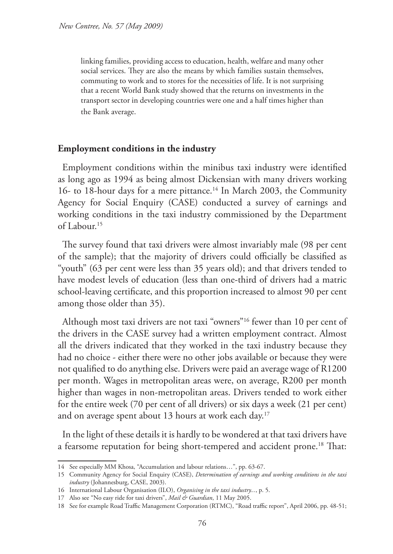linking families, providing access to education, health, welfare and many other social services. They are also the means by which families sustain themselves, commuting to work and to stores for the necessities of life. It is not surprising that a recent World Bank study showed that the returns on investments in the transport sector in developing countries were one and a half times higher than the Bank average.

#### **Employment conditions in the industry**

Employment conditions within the minibus taxi industry were identified as long ago as 1994 as being almost Dickensian with many drivers working 16- to 18-hour days for a mere pittance.<sup>14</sup> In March 2003, the Community Agency for Social Enquiry (CASE) conducted a survey of earnings and working conditions in the taxi industry commissioned by the Department of Labour.15

The survey found that taxi drivers were almost invariably male (98 per cent of the sample); that the majority of drivers could officially be classified as "youth" (63 per cent were less than 35 years old); and that drivers tended to have modest levels of education (less than one-third of drivers had a matric school-leaving certificate, and this proportion increased to almost 90 per cent among those older than 35).

Although most taxi drivers are not taxi "owners"16 fewer than 10 per cent of the drivers in the CASE survey had a written employment contract. Almost all the drivers indicated that they worked in the taxi industry because they had no choice - either there were no other jobs available or because they were not qualified to do anything else. Drivers were paid an average wage of R1200 per month. Wages in metropolitan areas were, on average, R200 per month higher than wages in non-metropolitan areas. Drivers tended to work either for the entire week (70 per cent of all drivers) or six days a week (21 per cent) and on average spent about 13 hours at work each day.<sup>17</sup>

In the light of these details it is hardly to be wondered at that taxi drivers have a fearsome reputation for being short-tempered and accident prone.18 That:

<sup>14</sup> See especially MM Khosa, "Accumulation and labour relations…", pp. 63-67.

<sup>15</sup> Community Agency for Social Enquiry (CASE), *Determination of earnings and working conditions in the taxi industry* (Johannesburg, CASE, 2003).

<sup>16</sup> International Labour Organisation (ILO), *Organising in the taxi industry...*, p. 5.

<sup>17</sup> Also see "No easy ride for taxi drivers", *Mail & Guardian*, 11 May 2005.

<sup>18</sup> See for example Road Traffic Management Corporation (RTMC), "Road traffic report", April 2006, pp. 48-51;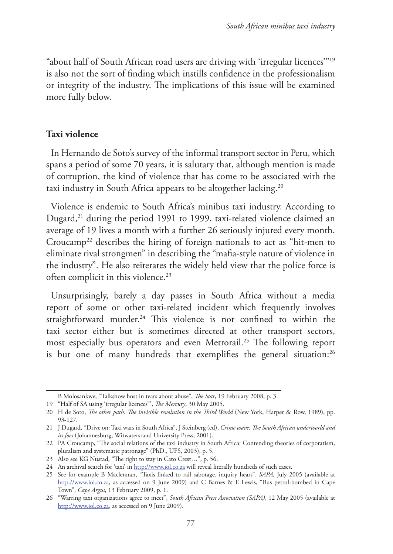"about half of South African road users are driving with 'irregular licences'"19 is also not the sort of finding which instills confidence in the professionalism or integrity of the industry. The implications of this issue will be examined more fully below.

### **Taxi violence**

In Hernando de Soto's survey of the informal transport sector in Peru, which spans a period of some 70 years, it is salutary that, although mention is made of corruption, the kind of violence that has come to be associated with the taxi industry in South Africa appears to be altogether lacking.<sup>20</sup>

Violence is endemic to South Africa's minibus taxi industry. According to Dugard,<sup>21</sup> during the period 1991 to 1999, taxi-related violence claimed an average of 19 lives a month with a further 26 seriously injured every month. Croucamp22 describes the hiring of foreign nationals to act as "hit-men to eliminate rival strongmen" in describing the "mafia-style nature of violence in the industry". He also reiterates the widely held view that the police force is often complicit in this violence.<sup>23</sup>

Unsurprisingly, barely a day passes in South Africa without a media report of some or other taxi-related incident which frequently involves straightforward murder.<sup>24</sup> This violence is not confined to within the taxi sector either but is sometimes directed at other transport sectors, most especially bus operators and even Metrorail.25 The following report is but one of many hundreds that exemplifies the general situation:<sup>26</sup>

B Molosankwe, "Talkshow host in tears about abuse", *The Star*, 19 February 2008, p. 3.

<sup>19</sup> "Half of SA using 'irregular licences"', *The Mercury*, 30 May 2005.

<sup>20</sup> H de Soto, *The other path: The invisible revolution in the Third World* (New York, Harper & Row, 1989), pp. 93-127.

<sup>21</sup> J Dugard, "Drive on: Taxi wars in South Africa", J Steinberg (ed), *Crime wave: The South African underworld and its foes* (Johannesburg, Witwatersrand University Press, 2001).

<sup>22</sup> PA Croucamp, "The social relations of the taxi industry in South Africa: Contending theories of corporatism, pluralism and systematic patronage" (PhD., UFS, 2003), p. 5.

<sup>23</sup> Also see KG Nustad, "The right to stay in Cato Crest…", p. 56.

<sup>24</sup> An archival search for 'taxi' in http://www.iol.co.za will reveal literally hundreds of such cases.

<sup>25</sup> See for example B Maclennan, "Taxis linked to rail sabotage, inquiry hears", *SAPA,* July 2005 (available at http://www.iol.co.za, as accessed on 9 June 2009) and C Barnes & E Lewis, "Bus petrol-bombed in Cape Town", *Cape Argus*, 13 February 2009, p. 1.

<sup>26</sup> "Warring taxi organizations agree to meet", *South African Press Association (SAPA)*, 12 May 2005 (available at http://www.iol.co.za, as accessed on 9 June 2009).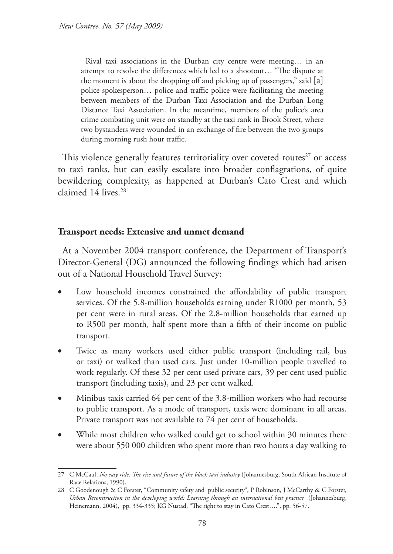Rival taxi associations in the Durban city centre were meeting… in an attempt to resolve the differences which led to a shootout… "The dispute at the moment is about the dropping off and picking up of passengers," said [a] police spokesperson… police and traffic police were facilitating the meeting between members of the Durban Taxi Association and the Durban Long Distance Taxi Association. In the meantime, members of the police's area crime combating unit were on standby at the taxi rank in Brook Street, where two bystanders were wounded in an exchange of fire between the two groups during morning rush hour traffic.

This violence generally features territoriality over coveted routes $27$  or access to taxi ranks, but can easily escalate into broader conflagrations, of quite bewildering complexity, as happened at Durban's Cato Crest and which claimed 14 lives.<sup>28</sup>

# **Transport needs: Extensive and unmet demand**

At a November 2004 transport conference, the Department of Transport's Director-General (DG) announced the following findings which had arisen out of a National Household Travel Survey:

- Low household incomes constrained the affordability of public transport services. Of the 5.8-million households earning under R1000 per month, 53 per cent were in rural areas. Of the 2.8-million households that earned up to R500 per month, half spent more than a fifth of their income on public transport.
- • Twice as many workers used either public transport (including rail, bus or taxi) or walked than used cars. Just under 10-million people travelled to work regularly. Of these 32 per cent used private cars, 39 per cent used public transport (including taxis), and 23 per cent walked.
- Minibus taxis carried 64 per cent of the 3.8-million workers who had recourse to public transport. As a mode of transport, taxis were dominant in all areas. Private transport was not available to 74 per cent of households.
- While most children who walked could get to school within 30 minutes there were about 550 000 children who spent more than two hours a day walking to

<sup>27</sup> C McCaul, *No easy ride: The rise and future of the black taxi industry* (Johannesburg, South African Institute of Race Relations, 1990).

<sup>28</sup> C Goodenough & C Forster, "Community safety and public security", P Robinson, J McCarthy & C Forster, *Urban Reconstruction in the developing world: Learning through an international best practice* (Johannesburg, Heinemann, 2004), pp. 334-335; KG Nustad, "The right to stay in Cato Crest....", pp. 56-57.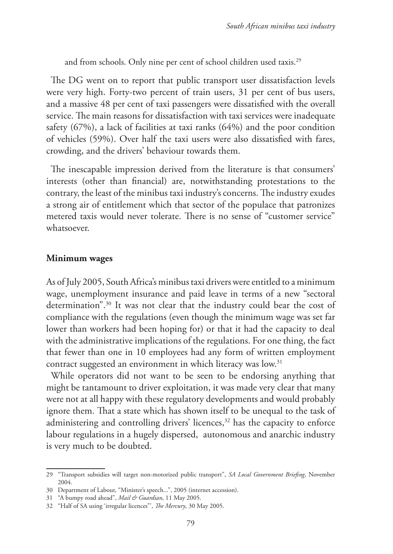and from schools. Only nine per cent of school children used taxis.<sup>29</sup>

The DG went on to report that public transport user dissatisfaction levels were very high. Forty-two percent of train users, 31 per cent of bus users, and a massive 48 per cent of taxi passengers were dissatisfied with the overall service. The main reasons for dissatisfaction with taxi services were inadequate safety (67%), a lack of facilities at taxi ranks (64%) and the poor condition of vehicles (59%). Over half the taxi users were also dissatisfied with fares, crowding, and the drivers' behaviour towards them.

The inescapable impression derived from the literature is that consumers' interests (other than financial) are, notwithstanding protestations to the contrary, the least of the minibus taxi industry's concerns. The industry exudes a strong air of entitlement which that sector of the populace that patronizes metered taxis would never tolerate. There is no sense of "customer service" whatsoever.

#### **Minimum wages**

As of July 2005, South Africa's minibus taxi drivers were entitled to a minimum wage, unemployment insurance and paid leave in terms of a new "sectoral determination".30 It was not clear that the industry could bear the cost of compliance with the regulations (even though the minimum wage was set far lower than workers had been hoping for) or that it had the capacity to deal with the administrative implications of the regulations. For one thing, the fact that fewer than one in 10 employees had any form of written employment contract suggested an environment in which literacy was low.31

While operators did not want to be seen to be endorsing anything that might be tantamount to driver exploitation, it was made very clear that many were not at all happy with these regulatory developments and would probably ignore them. That a state which has shown itself to be unequal to the task of administering and controlling drivers' licences,<sup>32</sup> has the capacity to enforce labour regulations in a hugely dispersed, autonomous and anarchic industry is very much to be doubted.

<sup>29</sup> "Transport subsidies will target non-motorized public transport", *SA Local Government Briefing*, November 2004.

<sup>30</sup> Department of Labour, "Minister's speech...", 2005 (internet accession).

<sup>31</sup> "A bumpy road ahead", *Mail & Guardian*, 11 May 2005.

<sup>32</sup> "Half of SA using 'irregular licences"', *The Mercury*, 30 May 2005.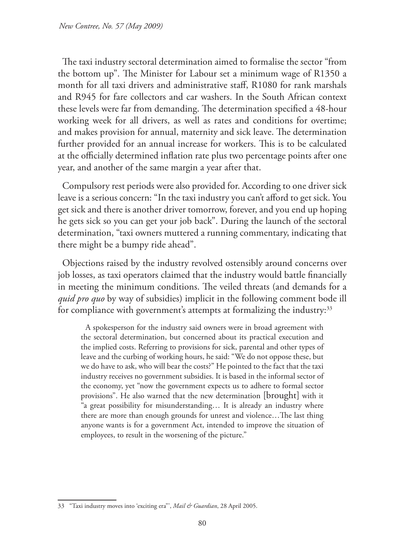The taxi industry sectoral determination aimed to formalise the sector "from the bottom up". The Minister for Labour set a minimum wage of R1350 a month for all taxi drivers and administrative staff, R1080 for rank marshals and R945 for fare collectors and car washers. In the South African context these levels were far from demanding. The determination specified a 48-hour working week for all drivers, as well as rates and conditions for overtime; and makes provision for annual, maternity and sick leave. The determination further provided for an annual increase for workers. This is to be calculated at the officially determined inflation rate plus two percentage points after one year, and another of the same margin a year after that.

Compulsory rest periods were also provided for. According to one driver sick leave is a serious concern: "In the taxi industry you can't afford to get sick. You get sick and there is another driver tomorrow, forever, and you end up hoping he gets sick so you can get your job back". During the launch of the sectoral determination, "taxi owners muttered a running commentary, indicating that there might be a bumpy ride ahead".

Objections raised by the industry revolved ostensibly around concerns over job losses, as taxi operators claimed that the industry would battle financially in meeting the minimum conditions. The veiled threats (and demands for a *quid pro quo* by way of subsidies) implicit in the following comment bode ill for compliance with government's attempts at formalizing the industry:<sup>33</sup>

A spokesperson for the industry said owners were in broad agreement with the sectoral determination, but concerned about its practical execution and the implied costs. Referring to provisions for sick, parental and other types of leave and the curbing of working hours, he said: "We do not oppose these, but we do have to ask, who will bear the costs?" He pointed to the fact that the taxi industry receives no government subsidies. It is based in the informal sector of the economy, yet "now the government expects us to adhere to formal sector provisions". He also warned that the new determination [brought] with it "a great possibility for misunderstanding… It is already an industry where there are more than enough grounds for unrest and violence…The last thing anyone wants is for a government Act, intended to improve the situation of employees, to result in the worsening of the picture."

<sup>33</sup> "Taxi industry moves into 'exciting era"', *Mail & Guardian*, 28 April 2005.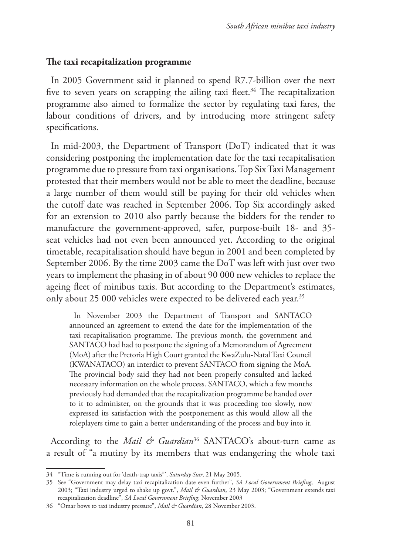#### **The taxi recapitalization programme**

In 2005 Government said it planned to spend R7.7-billion over the next five to seven years on scrapping the ailing taxi fleet.<sup>34</sup> The recapitalization programme also aimed to formalize the sector by regulating taxi fares, the labour conditions of drivers, and by introducing more stringent safety specifications.

In mid-2003, the Department of Transport (DoT) indicated that it was considering postponing the implementation date for the taxi recapitalisation programme due to pressure from taxi organisations. Top Six Taxi Management protested that their members would not be able to meet the deadline, because a large number of them would still be paying for their old vehicles when the cutoff date was reached in September 2006. Top Six accordingly asked for an extension to 2010 also partly because the bidders for the tender to manufacture the government-approved, safer, purpose-built 18- and 35 seat vehicles had not even been announced yet. According to the original timetable, recapitalisation should have begun in 2001 and been completed by September 2006. By the time 2003 came the DoT was left with just over two years to implement the phasing in of about 90 000 new vehicles to replace the ageing fleet of minibus taxis. But according to the Department's estimates, only about 25 000 vehicles were expected to be delivered each year.<sup>35</sup>

In November 2003 the Department of Transport and SANTACO announced an agreement to extend the date for the implementation of the taxi recapitalisation programme. The previous month, the government and SANTACO had had to postpone the signing of a Memorandum of Agreement (MoA) after the Pretoria High Court granted the KwaZulu-Natal Taxi Council (KWANATACO) an interdict to prevent SANTACO from signing the MoA. The provincial body said they had not been properly consulted and lacked necessary information on the whole process. SANTACO, which a few months previously had demanded that the recapitalization programme be handed over to it to administer, on the grounds that it was proceeding too slowly, now expressed its satisfaction with the postponement as this would allow all the roleplayers time to gain a better understanding of the process and buy into it.

According to the *Mail & Guardian*<sup>36</sup> SANTACO's about-turn came as a result of "a mutiny by its members that was endangering the whole taxi

<sup>34</sup> "Time is running out for 'death-trap taxis"', *Saturday Star*, 21 May 2005.

<sup>35</sup> See "Government may delay taxi recapitalization date even further", *SA Local Government Briefing*, August 2003; "Taxi industry urged to shake up govt.", *Mail & Guardian*, 23 May 2003; "Government extends taxi recapitalization deadline", *SA Local Government Briefing*, November 2003

<sup>36</sup> "Omar bows to taxi industry pressure", *Mail & Guardian*, 28 November 2003.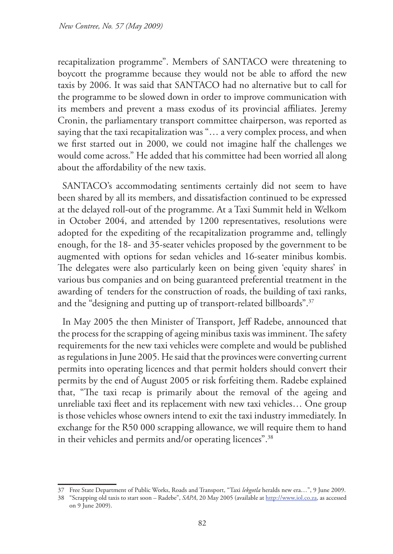recapitalization programme". Members of SANTACO were threatening to boycott the programme because they would not be able to afford the new taxis by 2006. It was said that SANTACO had no alternative but to call for the programme to be slowed down in order to improve communication with its members and prevent a mass exodus of its provincial affiliates. Jeremy Cronin, the parliamentary transport committee chairperson, was reported as saying that the taxi recapitalization was "… a very complex process, and when we first started out in 2000, we could not imagine half the challenges we would come across." He added that his committee had been worried all along about the affordability of the new taxis.

SANTACO's accommodating sentiments certainly did not seem to have been shared by all its members, and dissatisfaction continued to be expressed at the delayed roll-out of the programme. At a Taxi Summit held in Welkom in October 2004, and attended by 1200 representatives, resolutions were adopted for the expediting of the recapitalization programme and, tellingly enough, for the 18- and 35-seater vehicles proposed by the government to be augmented with options for sedan vehicles and 16-seater minibus kombis. The delegates were also particularly keen on being given 'equity shares' in various bus companies and on being guaranteed preferential treatment in the awarding of tenders for the construction of roads, the building of taxi ranks, and the "designing and putting up of transport-related billboards".<sup>37</sup>

In May 2005 the then Minister of Transport, Jeff Radebe, announced that the process for the scrapping of ageing minibus taxis was imminent. The safety requirements for the new taxi vehicles were complete and would be published as regulations in June 2005. He said that the provinces were converting current permits into operating licences and that permit holders should convert their permits by the end of August 2005 or risk forfeiting them. Radebe explained that, "The taxi recap is primarily about the removal of the ageing and unreliable taxi fleet and its replacement with new taxi vehicles… One group is those vehicles whose owners intend to exit the taxi industry immediately. In exchange for the R50 000 scrapping allowance, we will require them to hand in their vehicles and permits and/or operating licences".38

<sup>37</sup> Free State Department of Public Works, Roads and Transport, "Taxi *lekgotla* heralds new era…", 9 June 2009.

<sup>38</sup> "Scrapping old taxis to start soon – Radebe", *SAPA*, 20 May 2005 (available at http://www.iol.co.za, as accessed on 9 June 2009).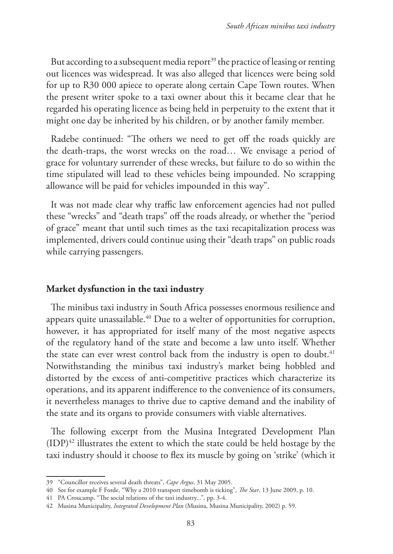But according to a subsequent media report<sup>39</sup> the practice of leasing or renting out licences was widespread. It was also alleged that licences were being sold for up to R30 000 apiece to operate along certain Cape Town routes. When the present writer spoke to a taxi owner about this it became clear that he regarded his operating licence as being held in perpetuity to the extent that it might one day be inherited by his children, or by another family member.

Radebe continued: "The others we need to get off the roads quickly are the death-traps, the worst wrecks on the road… We envisage a period of grace for voluntary surrender of these wrecks, but failure to do so within the time stipulated will lead to these vehicles being impounded. No scrapping allowance will be paid for vehicles impounded in this way".

It was not made clear why traffic law enforcement agencies had not pulled these "wrecks" and "death traps" off the roads already, or whether the "period of grace" meant that until such times as the taxi recapitalization process was implemented, drivers could continue using their "death traps" on public roads while carrying passengers.

### **Market dysfunction in the taxi industry**

The minibus taxi industry in South Africa possesses enormous resilience and appears quite unassailable.40 Due to a welter of opportunities for corruption, however, it has appropriated for itself many of the most negative aspects of the regulatory hand of the state and become a law unto itself. Whether the state can ever wrest control back from the industry is open to doubt.<sup>41</sup> Notwithstanding the minibus taxi industry's market being hobbled and distorted by the excess of anti-competitive practices which characterize its operations, and its apparent indifference to the convenience of its consumers, it nevertheless manages to thrive due to captive demand and the inability of the state and its organs to provide consumers with viable alternatives.

The following excerpt from the Musina Integrated Development Plan  $(IDP)^{42}$  illustrates the extent to which the state could be held hostage by the taxi industry should it choose to flex its muscle by going on 'strike' (which it

<sup>39</sup> "Councillor receives several death threats", *Cape Argus*, 31 May 2005.

<sup>40</sup> See for example F Forde, "Why a 2010 transport timebomb is ticking", *The Star*, 13 June 2009, p. 10.

<sup>41</sup> PA Croucamp, "The social relations of the taxi industry...", pp. 3-4.

<sup>42</sup> Musina Municipality, *Integrated Development Plan* (Musina, Musina Municipality, 2002) p. 59.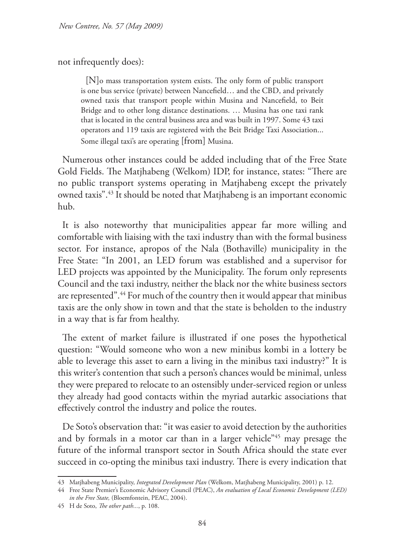### not infrequently does):

[N]o mass transportation system exists. The only form of public transport is one bus service (private) between Nancefield… and the CBD, and privately owned taxis that transport people within Musina and Nancefield, to Beit Bridge and to other long distance destinations. … Musina has one taxi rank that is located in the central business area and was built in 1997. Some 43 taxi operators and 119 taxis are registered with the Beit Bridge Taxi Association... Some illegal taxi's are operating [from] Musina.

Numerous other instances could be added including that of the Free State Gold Fields. The Matjhabeng (Welkom) IDP, for instance, states: "There are no public transport systems operating in Matjhabeng except the privately owned taxis".43 It should be noted that Matjhabeng is an important economic hub.

It is also noteworthy that municipalities appear far more willing and comfortable with liaising with the taxi industry than with the formal business sector. For instance, apropos of the Nala (Bothaville) municipality in the Free State: "In 2001, an LED forum was established and a supervisor for LED projects was appointed by the Municipality. The forum only represents Council and the taxi industry, neither the black nor the white business sectors are represented".44 For much of the country then it would appear that minibus taxis are the only show in town and that the state is beholden to the industry in a way that is far from healthy.

The extent of market failure is illustrated if one poses the hypothetical question: "Would someone who won a new minibus kombi in a lottery be able to leverage this asset to earn a living in the minibus taxi industry?" It is this writer's contention that such a person's chances would be minimal, unless they were prepared to relocate to an ostensibly under-serviced region or unless they already had good contacts within the myriad autarkic associations that effectively control the industry and police the routes.

De Soto's observation that: "it was easier to avoid detection by the authorities and by formals in a motor car than in a larger vehicle"45 may presage the future of the informal transport sector in South Africa should the state ever succeed in co-opting the minibus taxi industry. There is every indication that

<sup>43</sup> Matjhabeng Municipality, *Integrated Development Plan* (Welkom, Matjhabeng Municipality, 2001) p. 12.

<sup>44</sup> Free State Premier's Economic Advisory Council (PEAC), *An evaluation of Local Economic Development (LED) in the Free State,* (Bloemfontein, PEAC, 2004).

<sup>45</sup> H de Soto, *The other path...*, p. 108.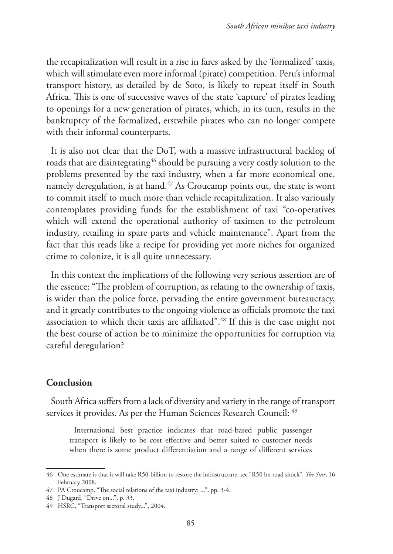the recapitalization will result in a rise in fares asked by the 'formalized' taxis, which will stimulate even more informal (pirate) competition. Peru's informal transport history, as detailed by de Soto, is likely to repeat itself in South Africa. This is one of successive waves of the state 'capture' of pirates leading to openings for a new generation of pirates, which, in its turn, results in the bankruptcy of the formalized, erstwhile pirates who can no longer compete with their informal counterparts.

It is also not clear that the DoT, with a massive infrastructural backlog of roads that are disintegrating<sup>46</sup> should be pursuing a very costly solution to the problems presented by the taxi industry, when a far more economical one, namely deregulation, is at hand.<sup>47</sup> As Croucamp points out, the state is wont to commit itself to much more than vehicle recapitalization. It also variously contemplates providing funds for the establishment of taxi "co-operatives which will extend the operational authority of taximen to the petroleum industry, retailing in spare parts and vehicle maintenance". Apart from the fact that this reads like a recipe for providing yet more niches for organized crime to colonize, it is all quite unnecessary.

In this context the implications of the following very serious assertion are of the essence: "The problem of corruption, as relating to the ownership of taxis, is wider than the police force, pervading the entire government bureaucracy, and it greatly contributes to the ongoing violence as officials promote the taxi association to which their taxis are affiliated".48 If this is the case might not the best course of action be to minimize the opportunities for corruption via careful deregulation?

### **Conclusion**

South Africa suffers from a lack of diversity and variety in the range of transport services it provides. As per the Human Sciences Research Council: 49

International best practice indicates that road-based public passenger transport is likely to be cost effective and better suited to customer needs when there is some product differentiation and a range of different services

<sup>46</sup> One estimate is that it will take R50-billion to restore the infrastructure, see "R50 bn road shock", *The Star*, 16 February 2008.

<sup>47</sup> PA Croucamp, "The social relations of the taxi industry: ...", pp. 3-4.

<sup>48</sup> J Dugard, "Drive on...", p. 33.

<sup>49</sup> HSRC, "Transport sectoral study...", 2004.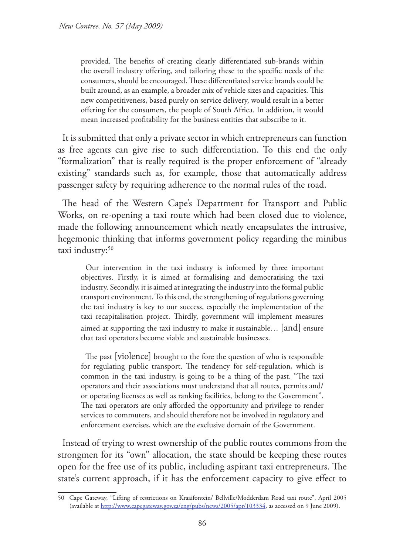provided. The benefits of creating clearly differentiated sub-brands within the overall industry offering, and tailoring these to the specific needs of the consumers, should be encouraged. These differentiated service brands could be built around, as an example, a broader mix of vehicle sizes and capacities. This new competitiveness, based purely on service delivery, would result in a better offering for the consumers, the people of South Africa. In addition, it would mean increased profitability for the business entities that subscribe to it.

It is submitted that only a private sector in which entrepreneurs can function as free agents can give rise to such differentiation. To this end the only "formalization" that is really required is the proper enforcement of "already existing" standards such as, for example, those that automatically address passenger safety by requiring adherence to the normal rules of the road.

The head of the Western Cape's Department for Transport and Public Works, on re-opening a taxi route which had been closed due to violence, made the following announcement which neatly encapsulates the intrusive, hegemonic thinking that informs government policy regarding the minibus taxi industry:<sup>50</sup>

Our intervention in the taxi industry is informed by three important objectives. Firstly, it is aimed at formalising and democratising the taxi industry. Secondly, it is aimed at integrating the industry into the formal public transport environment. To this end, the strengthening of regulations governing the taxi industry is key to our success, especially the implementation of the taxi recapitalisation project. Thirdly, government will implement measures aimed at supporting the taxi industry to make it sustainable… [and] ensure that taxi operators become viable and sustainable businesses.

The past [violence] brought to the fore the question of who is responsible for regulating public transport. The tendency for self-regulation, which is common in the taxi industry, is going to be a thing of the past. "The taxi operators and their associations must understand that all routes, permits and/ or operating licenses as well as ranking facilities, belong to the Government". The taxi operators are only afforded the opportunity and privilege to render services to commuters, and should therefore not be involved in regulatory and enforcement exercises, which are the exclusive domain of the Government.

Instead of trying to wrest ownership of the public routes commons from the strongmen for its "own" allocation, the state should be keeping these routes open for the free use of its public, including aspirant taxi entrepreneurs. The state's current approach, if it has the enforcement capacity to give effect to

<sup>50</sup> Cape Gateway, "Lifting of restrictions on Kraaifontein/ Bellville/Modderdam Road taxi route", April 2005 (available at http://www.capegateway.gov.za/eng/pubs/news/2005/apr/103334, as accessed on 9 June 2009).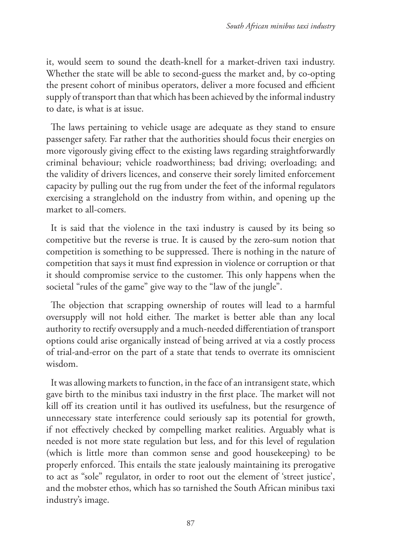it, would seem to sound the death-knell for a market-driven taxi industry. Whether the state will be able to second-guess the market and, by co-opting the present cohort of minibus operators, deliver a more focused and efficient supply of transport than that which has been achieved by the informal industry to date, is what is at issue.

The laws pertaining to vehicle usage are adequate as they stand to ensure passenger safety. Far rather that the authorities should focus their energies on more vigorously giving effect to the existing laws regarding straightforwardly criminal behaviour; vehicle roadworthiness; bad driving; overloading; and the validity of drivers licences, and conserve their sorely limited enforcement capacity by pulling out the rug from under the feet of the informal regulators exercising a stranglehold on the industry from within, and opening up the market to all-comers.

It is said that the violence in the taxi industry is caused by its being so competitive but the reverse is true. It is caused by the zero-sum notion that competition is something to be suppressed. There is nothing in the nature of competition that says it must find expression in violence or corruption or that it should compromise service to the customer. This only happens when the societal "rules of the game" give way to the "law of the jungle".

The objection that scrapping ownership of routes will lead to a harmful oversupply will not hold either. The market is better able than any local authority to rectify oversupply and a much-needed differentiation of transport options could arise organically instead of being arrived at via a costly process of trial-and-error on the part of a state that tends to overrate its omniscient wisdom.

It was allowing markets to function, in the face of an intransigent state, which gave birth to the minibus taxi industry in the first place. The market will not kill off its creation until it has outlived its usefulness, but the resurgence of unnecessary state interference could seriously sap its potential for growth, if not effectively checked by compelling market realities. Arguably what is needed is not more state regulation but less, and for this level of regulation (which is little more than common sense and good housekeeping) to be properly enforced. This entails the state jealously maintaining its prerogative to act as "sole" regulator, in order to root out the element of 'street justice', and the mobster ethos, which has so tarnished the South African minibus taxi industry's image.